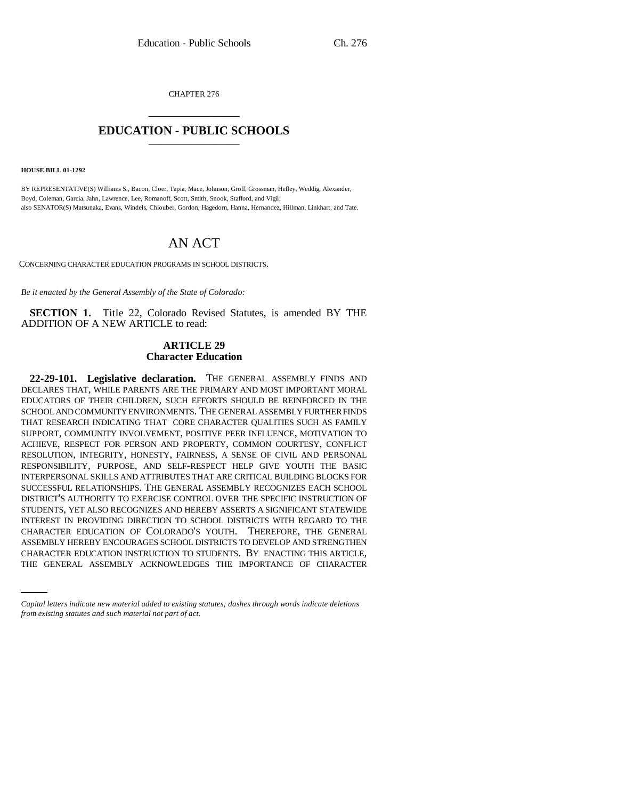CHAPTER 276 \_\_\_\_\_\_\_\_\_\_\_\_\_\_\_

## **EDUCATION - PUBLIC SCHOOLS** \_\_\_\_\_\_\_\_\_\_\_\_\_\_\_

**HOUSE BILL 01-1292**

BY REPRESENTATIVE(S) Williams S., Bacon, Cloer, Tapia, Mace, Johnson, Groff, Grossman, Hefley, Weddig, Alexander, Boyd, Coleman, Garcia, Jahn, Lawrence, Lee, Romanoff, Scott, Smith, Snook, Stafford, and Vigil; also SENATOR(S) Matsunaka, Evans, Windels, Chlouber, Gordon, Hagedorn, Hanna, Hernandez, Hillman, Linkhart, and Tate.

## AN ACT

CONCERNING CHARACTER EDUCATION PROGRAMS IN SCHOOL DISTRICTS.

*Be it enacted by the General Assembly of the State of Colorado:*

**SECTION 1.** Title 22, Colorado Revised Statutes, is amended BY THE ADDITION OF A NEW ARTICLE to read:

## **ARTICLE 29 Character Education**

ASSEMBLY HEREBY ENCOURAGES SCHOOL DISTRICTS TO DEVELOP AND STRENGTHEN **22-29-101. Legislative declaration.** THE GENERAL ASSEMBLY FINDS AND DECLARES THAT, WHILE PARENTS ARE THE PRIMARY AND MOST IMPORTANT MORAL EDUCATORS OF THEIR CHILDREN, SUCH EFFORTS SHOULD BE REINFORCED IN THE SCHOOL AND COMMUNITY ENVIRONMENTS. THE GENERAL ASSEMBLY FURTHER FINDS THAT RESEARCH INDICATING THAT CORE CHARACTER QUALITIES SUCH AS FAMILY SUPPORT, COMMUNITY INVOLVEMENT, POSITIVE PEER INFLUENCE, MOTIVATION TO ACHIEVE, RESPECT FOR PERSON AND PROPERTY, COMMON COURTESY, CONFLICT RESOLUTION, INTEGRITY, HONESTY, FAIRNESS, A SENSE OF CIVIL AND PERSONAL RESPONSIBILITY, PURPOSE, AND SELF-RESPECT HELP GIVE YOUTH THE BASIC INTERPERSONAL SKILLS AND ATTRIBUTES THAT ARE CRITICAL BUILDING BLOCKS FOR SUCCESSFUL RELATIONSHIPS. THE GENERAL ASSEMBLY RECOGNIZES EACH SCHOOL DISTRICT'S AUTHORITY TO EXERCISE CONTROL OVER THE SPECIFIC INSTRUCTION OF STUDENTS, YET ALSO RECOGNIZES AND HEREBY ASSERTS A SIGNIFICANT STATEWIDE INTEREST IN PROVIDING DIRECTION TO SCHOOL DISTRICTS WITH REGARD TO THE CHARACTER EDUCATION OF COLORADO'S YOUTH. THEREFORE, THE GENERAL CHARACTER EDUCATION INSTRUCTION TO STUDENTS. BY ENACTING THIS ARTICLE, THE GENERAL ASSEMBLY ACKNOWLEDGES THE IMPORTANCE OF CHARACTER

*Capital letters indicate new material added to existing statutes; dashes through words indicate deletions from existing statutes and such material not part of act.*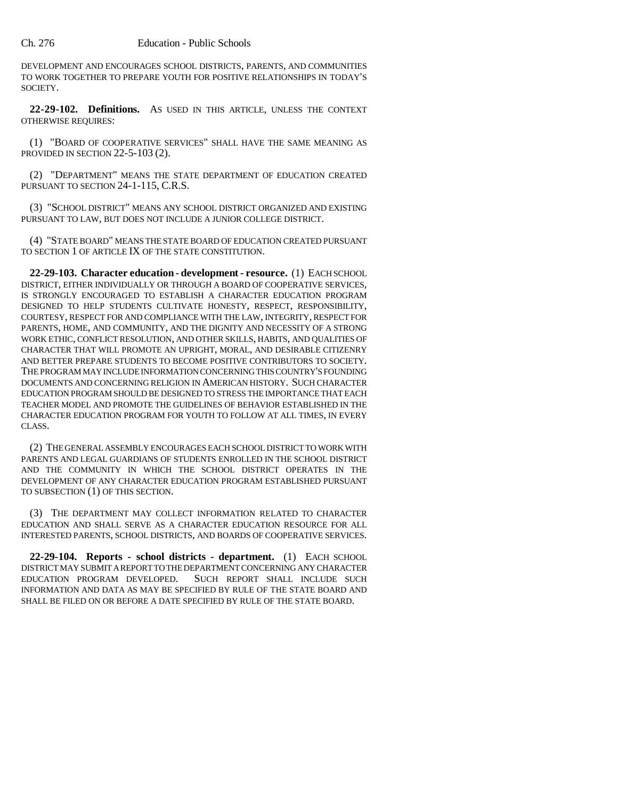DEVELOPMENT AND ENCOURAGES SCHOOL DISTRICTS, PARENTS, AND COMMUNITIES TO WORK TOGETHER TO PREPARE YOUTH FOR POSITIVE RELATIONSHIPS IN TODAY'S SOCIETY.

**22-29-102. Definitions.** AS USED IN THIS ARTICLE, UNLESS THE CONTEXT OTHERWISE REQUIRES:

(1) "BOARD OF COOPERATIVE SERVICES" SHALL HAVE THE SAME MEANING AS PROVIDED IN SECTION 22-5-103 (2).

(2) "DEPARTMENT" MEANS THE STATE DEPARTMENT OF EDUCATION CREATED PURSUANT TO SECTION 24-1-115, C.R.S.

(3) "SCHOOL DISTRICT" MEANS ANY SCHOOL DISTRICT ORGANIZED AND EXISTING PURSUANT TO LAW, BUT DOES NOT INCLUDE A JUNIOR COLLEGE DISTRICT.

(4) "STATE BOARD" MEANS THE STATE BOARD OF EDUCATION CREATED PURSUANT TO SECTION 1 OF ARTICLE IX OF THE STATE CONSTITUTION.

**22-29-103. Character education - development - resource.** (1) EACH SCHOOL DISTRICT, EITHER INDIVIDUALLY OR THROUGH A BOARD OF COOPERATIVE SERVICES, IS STRONGLY ENCOURAGED TO ESTABLISH A CHARACTER EDUCATION PROGRAM DESIGNED TO HELP STUDENTS CULTIVATE HONESTY, RESPECT, RESPONSIBILITY, COURTESY, RESPECT FOR AND COMPLIANCE WITH THE LAW, INTEGRITY, RESPECT FOR PARENTS, HOME, AND COMMUNITY, AND THE DIGNITY AND NECESSITY OF A STRONG WORK ETHIC, CONFLICT RESOLUTION, AND OTHER SKILLS, HABITS, AND QUALITIES OF CHARACTER THAT WILL PROMOTE AN UPRIGHT, MORAL, AND DESIRABLE CITIZENRY AND BETTER PREPARE STUDENTS TO BECOME POSITIVE CONTRIBUTORS TO SOCIETY. THE PROGRAM MAY INCLUDE INFORMATION CONCERNING THIS COUNTRY'S FOUNDING DOCUMENTS AND CONCERNING RELIGION IN AMERICAN HISTORY. SUCH CHARACTER EDUCATION PROGRAM SHOULD BE DESIGNED TO STRESS THE IMPORTANCE THAT EACH TEACHER MODEL AND PROMOTE THE GUIDELINES OF BEHAVIOR ESTABLISHED IN THE CHARACTER EDUCATION PROGRAM FOR YOUTH TO FOLLOW AT ALL TIMES, IN EVERY CLASS.

(2) THE GENERAL ASSEMBLY ENCOURAGES EACH SCHOOL DISTRICT TO WORK WITH PARENTS AND LEGAL GUARDIANS OF STUDENTS ENROLLED IN THE SCHOOL DISTRICT AND THE COMMUNITY IN WHICH THE SCHOOL DISTRICT OPERATES IN THE DEVELOPMENT OF ANY CHARACTER EDUCATION PROGRAM ESTABLISHED PURSUANT TO SUBSECTION (1) OF THIS SECTION.

(3) THE DEPARTMENT MAY COLLECT INFORMATION RELATED TO CHARACTER EDUCATION AND SHALL SERVE AS A CHARACTER EDUCATION RESOURCE FOR ALL INTERESTED PARENTS, SCHOOL DISTRICTS, AND BOARDS OF COOPERATIVE SERVICES.

**22-29-104. Reports - school districts - department.** (1) EACH SCHOOL DISTRICT MAY SUBMIT A REPORT TO THE DEPARTMENT CONCERNING ANY CHARACTER EDUCATION PROGRAM DEVELOPED. SUCH REPORT SHALL INCLUDE SUCH INFORMATION AND DATA AS MAY BE SPECIFIED BY RULE OF THE STATE BOARD AND SHALL BE FILED ON OR BEFORE A DATE SPECIFIED BY RULE OF THE STATE BOARD.